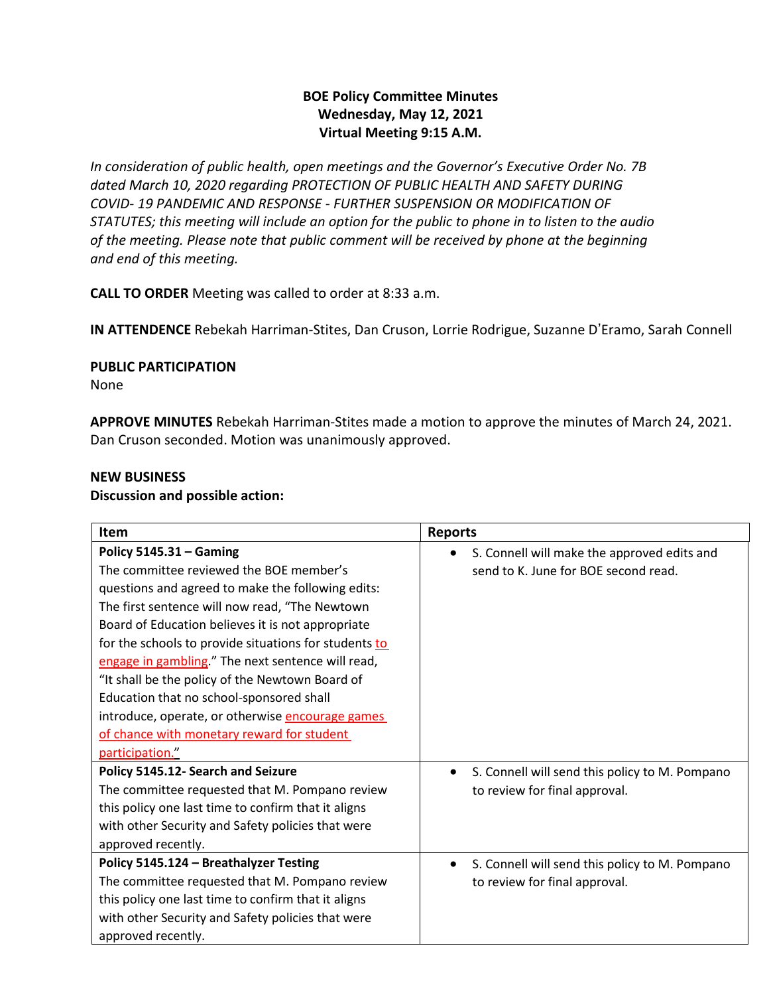# **BOE Policy Committee Minutes Wednesday, May 12, 2021 Virtual Meeting 9:15 A.M.**

*In consideration of public health, open meetings and the Governor's Executive Order No. 7B dated March 10, 2020 regarding PROTECTION OF PUBLIC HEALTH AND SAFETY DURING COVID- 19 PANDEMIC AND RESPONSE - FURTHER SUSPENSION OR MODIFICATION OF STATUTES; this meeting will include an option for the public to phone in to listen to the audio of the meeting. Please note that public comment will be received by phone at the beginning and end of this meeting.*

**CALL TO ORDER** Meeting was called to order at 8:33 a.m.

**IN ATTENDENCE** Rebekah Harriman-Stites, Dan Cruson, Lorrie Rodrigue, Suzanne D'Eramo, Sarah Connell

#### **PUBLIC PARTICIPATION**

None

**APPROVE MINUTES** Rebekah Harriman-Stites made a motion to approve the minutes of March 24, 2021. Dan Cruson seconded. Motion was unanimously approved.

# **NEW BUSINESS**

#### **Discussion and possible action:**

| <b>Item</b>                                           | <b>Reports</b>                                              |
|-------------------------------------------------------|-------------------------------------------------------------|
| Policy $5145.31 -$ Gaming                             | S. Connell will make the approved edits and                 |
| The committee reviewed the BOE member's               | send to K. June for BOE second read.                        |
| questions and agreed to make the following edits:     |                                                             |
| The first sentence will now read, "The Newtown        |                                                             |
| Board of Education believes it is not appropriate     |                                                             |
| for the schools to provide situations for students to |                                                             |
| engage in gambling." The next sentence will read,     |                                                             |
| "It shall be the policy of the Newtown Board of       |                                                             |
| Education that no school-sponsored shall              |                                                             |
| introduce, operate, or otherwise encourage games      |                                                             |
| of chance with monetary reward for student            |                                                             |
| participation."                                       |                                                             |
| Policy 5145.12- Search and Seizure                    | S. Connell will send this policy to M. Pompano<br>$\bullet$ |
| The committee requested that M. Pompano review        | to review for final approval.                               |
| this policy one last time to confirm that it aligns   |                                                             |
| with other Security and Safety policies that were     |                                                             |
| approved recently.                                    |                                                             |
| Policy 5145.124 - Breathalyzer Testing                | S. Connell will send this policy to M. Pompano<br>$\bullet$ |
| The committee requested that M. Pompano review        | to review for final approval.                               |
| this policy one last time to confirm that it aligns   |                                                             |
| with other Security and Safety policies that were     |                                                             |
| approved recently.                                    |                                                             |